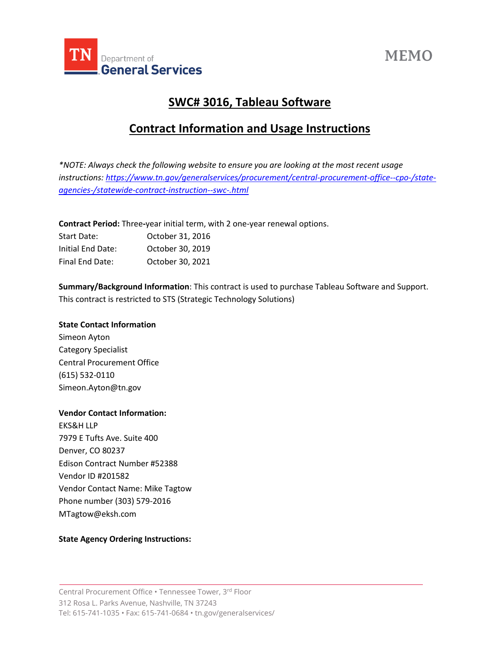

# **MEMO**

# **SWC# 3016, Tableau Software**

## **Contract Information and Usage Instructions**

*\*NOTE: Always check the following website to ensure you are looking at the most recent usage instructions: [https://www.tn.gov/generalservices/procurement/central-procurement-office--cpo-/state](https://www.tn.gov/generalservices/procurement/central-procurement-office--cpo-/state-agencies-/statewide-contract-instruction--swc-.html)[agencies-/statewide-contract-instruction--swc-.html](https://www.tn.gov/generalservices/procurement/central-procurement-office--cpo-/state-agencies-/statewide-contract-instruction--swc-.html)*

**Contract Period:** Three**-**year initial term, with 2 one-year renewal options.

| Start Date:       | October 31, 2016 |
|-------------------|------------------|
| Initial End Date: | October 30, 2019 |
| Final End Date:   | October 30, 2021 |

**Summary/Background Information**: This contract is used to purchase Tableau Software and Support. This contract is restricted to STS (Strategic Technology Solutions)

### **State Contact Information**

Simeon Ayton Category Specialist Central Procurement Office (615) 532-0110 Simeon.Ayton@tn.gov

### **Vendor Contact Information:**

EKS&H LLP 7979 E Tufts Ave. Suite 400 Denver, CO 80237 Edison Contract Number #52388 Vendor ID #201582 Vendor Contact Name: Mike Tagtow Phone number (303) 579-2016 MTagtow@eksh.com

#### **State Agency Ordering Instructions:**